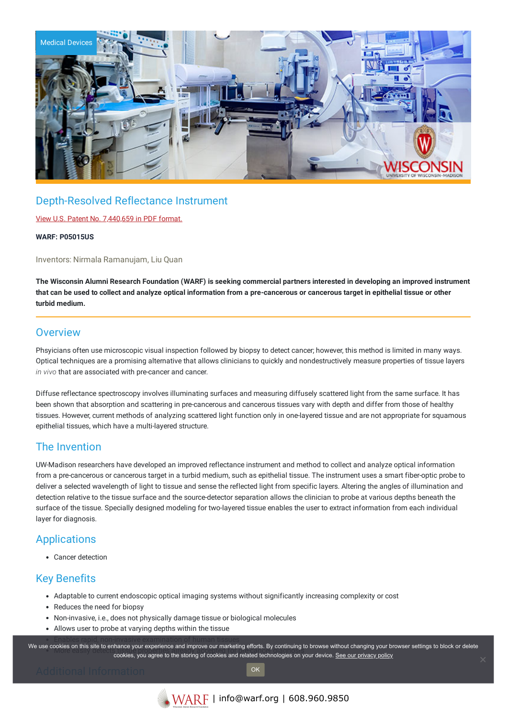

# Depth-Resolved Reflectance Instrument

View U.S. Patent No. [7,440,659](https://www.warf.org/wp-content/uploads/technologies/ipstatus/P05015US.PDF) in PDF format.

**WARF: P05015US**

Inventors: Nirmala Ramanujam, Liu Quan

The Wisconsin Alumni Research Foundation (WARF) is seeking commercial partners interested in developing an improved instrument that can be used to collect and analyze optical information from a pre-cancerous or cancerous target in epithelial tissue or other **turbid medium.**

#### **Overview**

Phsyicians often use microscopic visual inspection followed by biopsy to detect cancer; however, this method is limited in many ways. Optical techniques are a promising alternative that allows clinicians to quickly and nondestructively measure properties of tissue layers *in vivo* that are associated with pre-cancer and cancer.

Diffuse reflectance spectroscopy involves illuminating surfaces and measuring diffusely scattered light from the same surface. It has been shown that absorption and scattering in pre-cancerous and cancerous tissues vary with depth and differ from those of healthy tissues. However, current methods of analyzing scattered light function only in one-layered tissue and are not appropriate for squamous epithelial tissues, which have a multi-layered structure.

### The Invention

UW-Madison researchers have developed an improved reflectance instrument and method to collect and analyze optical information from a pre-cancerous or cancerous target in a turbid medium, such as epithelial tissue. The instrument uses a smart fiber-optic probe to deliver a selected wavelength of light to tissue and sense the reflected light from specific layers. Altering the angles of illumination and detection relative to the tissue surface and the source-detector separation allows the clinician to probe at various depths beneath the surface of the tissue. Specially designed modeling for two-layered tissue enables the user to extract information from each individual layer for diagnosis.

## **Applications**

Cancer detection

## Key Benefits

- Adaptable to current endoscopic optical imaging systems without significantly increasing complexity or cost
- Reduces the need for biopsy
- Non-invasive, i.e., does not physically damage tissue or biological molecules
- Allows user to probe at varying depths within the tissue

.<br>We use cookies on this site to enhance your experience and improve our marketing efforts. By continuing to browse without changing your browser settings to block or delete owes on this site to emiance your experience and improve our maneurity enore. By continuing to browse without changing your browse cookies, you agree to the storing of cookies and related technologies on your device. <u>See </u>